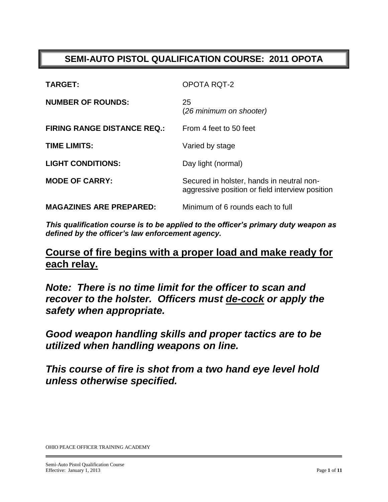### **SEMI-AUTO PISTOL QUALIFICATION COURSE: 2011 OPOTA**

| <b>TARGET:</b>                     | <b>OPOTA RQT-2</b>                                                                           |
|------------------------------------|----------------------------------------------------------------------------------------------|
| <b>NUMBER OF ROUNDS:</b>           | 25<br>(26 minimum on shooter)                                                                |
| <b>FIRING RANGE DISTANCE REQ.:</b> | From 4 feet to 50 feet                                                                       |
| <b>TIME LIMITS:</b>                | Varied by stage                                                                              |
| <b>LIGHT CONDITIONS:</b>           | Day light (normal)                                                                           |
| <b>MODE OF CARRY:</b>              | Secured in holster, hands in neutral non-<br>aggressive position or field interview position |
| <b>MAGAZINES ARE PREPARED:</b>     | Minimum of 6 rounds each to full                                                             |

*This qualification course is to be applied to the officer's primary duty weapon as defined by the officer's law enforcement agency.*

## **Course of fire begins with a proper load and make ready for each relay.**

*Note: There is no time limit for the officer to scan and recover to the holster. Officers must de-cock or apply the safety when appropriate.*

*Good weapon handling skills and proper tactics are to be utilized when handling weapons on line.*

*This course of fire is shot from a two hand eye level hold unless otherwise specified.*

OHIO PEACE OFFICER TRAINING ACADEMY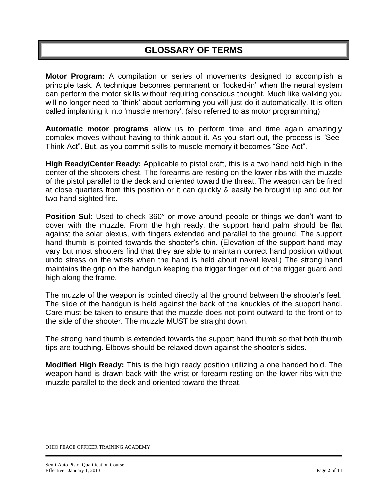### **GLOSSARY OF TERMS**

**Motor Program:** A compilation or series of movements designed to accomplish a principle task. A technique becomes permanent or "locked-in" when the neural system can perform the motor skills without requiring conscious thought. Much like walking you will no longer need to 'think' about performing you will just do it automatically. It is often called implanting it into 'muscle memory'. (also referred to as motor programming)

**Automatic motor programs** allow us to perform time and time again amazingly complex moves without having to think about it. As you start out, the process is "See-Think-Act". But, as you commit skills to muscle memory it becomes "See-Act".

**High Ready/Center Ready:** Applicable to pistol craft, this is a two hand hold high in the center of the shooters chest. The forearms are resting on the lower ribs with the muzzle of the pistol parallel to the deck and oriented toward the threat. The weapon can be fired at close quarters from this position or it can quickly & easily be brought up and out for two hand sighted fire.

**Position Sul:** Used to check 360° or move around people or things we don't want to cover with the muzzle. From the high ready, the support hand palm should be flat against the solar plexus, with fingers extended and parallel to the ground. The support hand thumb is pointed towards the shooter's chin. (Elevation of the support hand may vary but most shooters find that they are able to maintain correct hand position without undo stress on the wrists when the hand is held about naval level.) The strong hand maintains the grip on the handgun keeping the trigger finger out of the trigger guard and high along the frame.

The muzzle of the weapon is pointed directly at the ground between the shooter"s feet. The slide of the handgun is held against the back of the knuckles of the support hand. Care must be taken to ensure that the muzzle does not point outward to the front or to the side of the shooter. The muzzle MUST be straight down.

The strong hand thumb is extended towards the support hand thumb so that both thumb tips are touching. Elbows should be relaxed down against the shooter"s sides.

**Modified High Ready:** This is the high ready position utilizing a one handed hold. The weapon hand is drawn back with the wrist or forearm resting on the lower ribs with the muzzle parallel to the deck and oriented toward the threat.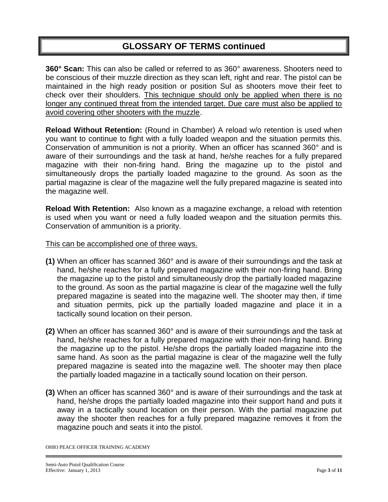### **GLOSSARY OF TERMS continued**

**360° Scan:** This can also be called or referred to as 360° awareness. Shooters need to be conscious of their muzzle direction as they scan left, right and rear. The pistol can be maintained in the high ready position or position Sul as shooters move their feet to check over their shoulders. This technique should only be applied when there is no longer any continued threat from the intended target. Due care must also be applied to avoid covering other shooters with the muzzle.

**Reload Without Retention:** (Round in Chamber) A reload w/o retention is used when you want to continue to fight with a fully loaded weapon and the situation permits this. Conservation of ammunition is not a priority. When an officer has scanned 360° and is aware of their surroundings and the task at hand, he/she reaches for a fully prepared magazine with their non-firing hand. Bring the magazine up to the pistol and simultaneously drops the partially loaded magazine to the ground. As soon as the partial magazine is clear of the magazine well the fully prepared magazine is seated into the magazine well.

**Reload With Retention:** Also known as a magazine exchange, a reload with retention is used when you want or need a fully loaded weapon and the situation permits this. Conservation of ammunition is a priority.

#### This can be accomplished one of three ways.

- **(1)** When an officer has scanned 360° and is aware of their surroundings and the task at hand, he/she reaches for a fully prepared magazine with their non-firing hand. Bring the magazine up to the pistol and simultaneously drop the partially loaded magazine to the ground. As soon as the partial magazine is clear of the magazine well the fully prepared magazine is seated into the magazine well. The shooter may then, if time and situation permits, pick up the partially loaded magazine and place it in a tactically sound location on their person.
- **(2)** When an officer has scanned 360° and is aware of their surroundings and the task at hand, he/she reaches for a fully prepared magazine with their non-firing hand. Bring the magazine up to the pistol. He/she drops the partially loaded magazine into the same hand. As soon as the partial magazine is clear of the magazine well the fully prepared magazine is seated into the magazine well. The shooter may then place the partially loaded magazine in a tactically sound location on their person.
- **(3)** When an officer has scanned 360° and is aware of their surroundings and the task at hand, he/she drops the partially loaded magazine into their support hand and puts it away in a tactically sound location on their person. With the partial magazine put away the shooter then reaches for a fully prepared magazine removes it from the magazine pouch and seats it into the pistol.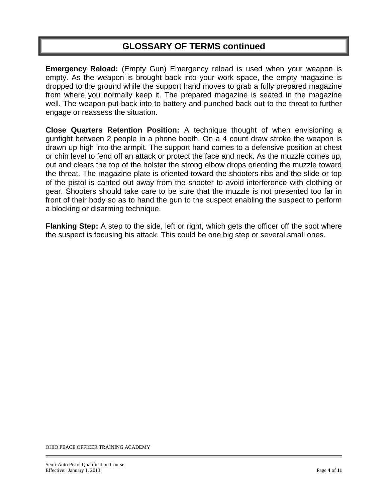### **GLOSSARY OF TERMS continued**

**Emergency Reload:** (Empty Gun) Emergency reload is used when your weapon is empty. As the weapon is brought back into your work space, the empty magazine is dropped to the ground while the support hand moves to grab a fully prepared magazine from where you normally keep it. The prepared magazine is seated in the magazine well. The weapon put back into to battery and punched back out to the threat to further engage or reassess the situation.

**Close Quarters Retention Position:** A technique thought of when envisioning a gunfight between 2 people in a phone booth. On a 4 count draw stroke the weapon is drawn up high into the armpit. The support hand comes to a defensive position at chest or chin level to fend off an attack or protect the face and neck. As the muzzle comes up, out and clears the top of the holster the strong elbow drops orienting the muzzle toward the threat. The magazine plate is oriented toward the shooters ribs and the slide or top of the pistol is canted out away from the shooter to avoid interference with clothing or gear. Shooters should take care to be sure that the muzzle is not presented too far in front of their body so as to hand the gun to the suspect enabling the suspect to perform a blocking or disarming technique.

**Flanking Step:** A step to the side, left or right, which gets the officer off the spot where the suspect is focusing his attack. This could be one big step or several small ones.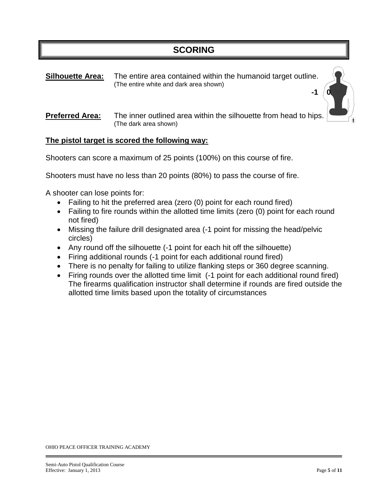**Silhouette Area:** The entire area contained within the humanoid target outline. (The entire white and dark area shown)

#### **Preferred Area:** The inner outlined area within the silhouette from head to hips. (The dark area shown)

**-1 0** 

#### **The pistol target is scored the following way:**

Shooters can score a maximum of 25 points (100%) on this course of fire.

Shooters must have no less than 20 points (80%) to pass the course of fire.

A shooter can lose points for:

- Failing to hit the preferred area (zero (0) point for each round fired)
- Failing to fire rounds within the allotted time limits (zero (0) point for each round not fired)
- Missing the failure drill designated area (-1 point for missing the head/pelvic circles)
- Any round off the silhouette (-1 point for each hit off the silhouette)
- Firing additional rounds (-1 point for each additional round fired)
- There is no penalty for failing to utilize flanking steps or 360 degree scanning.
- Firing rounds over the allotted time limit (-1 point for each additional round fired) The firearms qualification instructor shall determine if rounds are fired outside the allotted time limits based upon the totality of circumstances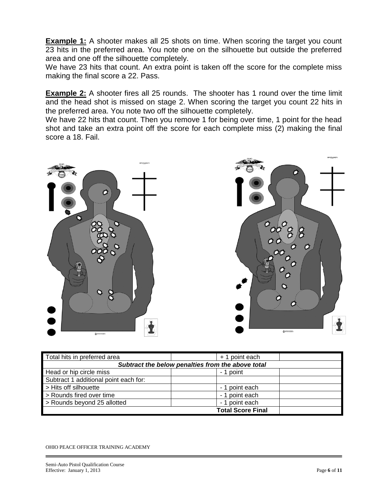**Example 1:** A shooter makes all 25 shots on time. When scoring the target you count 23 hits in the preferred area. You note one on the silhouette but outside the preferred area and one off the silhouette completely.

We have 23 hits that count. An extra point is taken off the score for the complete miss making the final score a 22. Pass.

**Example 2:** A shooter fires all 25 rounds. The shooter has 1 round over the time limit and the head shot is missed on stage 2. When scoring the target you count 22 hits in the preferred area. You note two off the silhouette completely.

We have 22 hits that count. Then you remove 1 for being over time, 1 point for the head shot and take an extra point off the score for each complete miss (2) making the final score a 18. Fail.



| Total hits in preferred area                      | + 1 point each           |  |  |  |
|---------------------------------------------------|--------------------------|--|--|--|
| Subtract the below penalties from the above total |                          |  |  |  |
| Head or hip circle miss                           | - 1 point                |  |  |  |
| Subtract 1 additional point each for:             |                          |  |  |  |
| > Hits off silhouette                             | - 1 point each           |  |  |  |
| > Rounds fired over time                          | - 1 point each           |  |  |  |
| > Rounds beyond 25 allotted                       | - 1 point each           |  |  |  |
|                                                   | <b>Total Score Final</b> |  |  |  |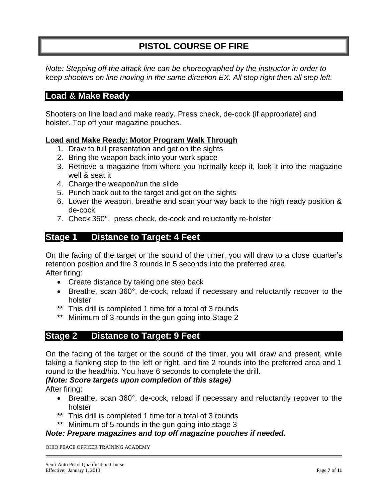### **PISTOL COURSE OF FIRE**

*Note: Stepping off the attack line can be choreographed by the instructor in order to keep shooters on line moving in the same direction EX. All step right then all step left.*

### **Load & Make Ready**

Shooters on line load and make ready. Press check, de-cock (if appropriate) and holster. Top off your magazine pouches.

#### **Load and Make Ready: Motor Program Walk Through**

- 1. Draw to full presentation and get on the sights
- 2. Bring the weapon back into your work space
- 3. Retrieve a magazine from where you normally keep it, look it into the magazine well & seat it
- 4. Charge the weapon/run the slide
- 5. Punch back out to the target and get on the sights
- 6. Lower the weapon, breathe and scan your way back to the high ready position & de-cock
- 7. Check 360°, press check, de-cock and reluctantly re-holster

### **Stage 1 Distance to Target: 4 Feet**

On the facing of the target or the sound of the timer, you will draw to a close quarter"s retention position and fire 3 rounds in 5 seconds into the preferred area. After firing:

- Create distance by taking one step back
- Breathe, scan 360°, de-cock, reload if necessary and reluctantly recover to the holster
- \*\* This drill is completed 1 time for a total of 3 rounds
- \*\* Minimum of 3 rounds in the gun going into Stage 2

### **Stage 2 Distance to Target: 9 Feet**

On the facing of the target or the sound of the timer, you will draw and present, while taking a flanking step to the left or right, and fire 2 rounds into the preferred area and 1 round to the head/hip. You have 6 seconds to complete the drill.

#### *(Note: Score targets upon completion of this stage)*

After firing:

- Breathe, scan 360°, de-cock, reload if necessary and reluctantly recover to the holster
- \*\* This drill is completed 1 time for a total of 3 rounds
- \*\* Minimum of 5 rounds in the gun going into stage 3

#### *Note: Prepare magazines and top off magazine pouches if needed.*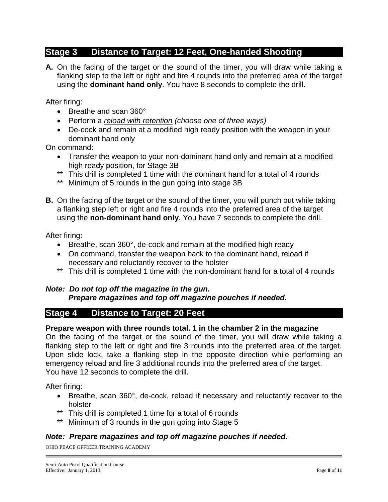### **Stage 3 Distance to Target: 12 Feet, One-handed Shooting**

**A.** On the facing of the target or the sound of the timer, you will draw while taking a flanking step to the left or right and fire 4 rounds into the preferred area of the target using the **dominant hand only**. You have 8 seconds to complete the drill.

After firing:

- Breathe and scan 360°
- Perform a *reload with retention (choose one of three ways)*
- De-cock and remain at a modified high ready position with the weapon in your dominant hand only

On command:

- Transfer the weapon to your non-dominant hand only and remain at a modified high ready position, for Stage 3B
- \*\* This drill is completed 1 time with the dominant hand for a total of 4 rounds
- \*\* Minimum of 5 rounds in the gun going into stage 3B
- **B.** On the facing of the target or the sound of the timer, you will punch out while taking a flanking step left or right and fire 4 rounds into the preferred area of the target using the **non-dominant hand only**. You have 7 seconds to complete the drill.

After firing:

- Breathe, scan 360°, de-cock and remain at the modified high ready
- On command, transfer the weapon back to the dominant hand, reload if necessary and reluctantly recover to the holster
- \*\* This drill is completed 1 time with the non-dominant hand for a total of 4 rounds

#### *Note: Do not top off the magazine in the gun. Prepare magazines and top off magazine pouches if needed.*

### **Stage 4 Distance to Target: 20 Feet**

#### **Prepare weapon with three rounds total. 1 in the chamber 2 in the magazine**

On the facing of the target or the sound of the timer, you will draw while taking a flanking step to the left or right and fire 3 rounds into the preferred area of the target. Upon slide lock, take a flanking step in the opposite direction while performing an emergency reload and fire 3 additional rounds into the preferred area of the target. You have 12 seconds to complete the drill.

After firing:

- Breathe, scan 360°, de-cock, reload if necessary and reluctantly recover to the holster
- \*\* This drill is completed 1 time for a total of 6 rounds
- \*\* Minimum of 3 rounds in the gun going into Stage 5

### *Note: Prepare magazines and top off magazine pouches if needed.*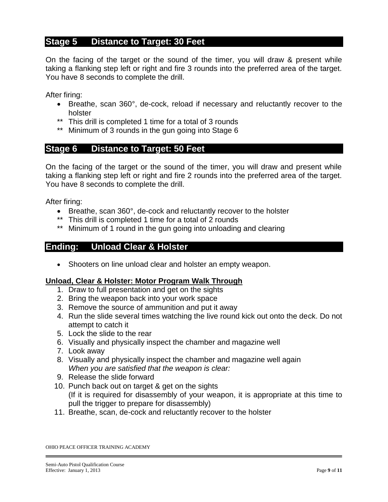### **Stage 5 Distance to Target: 30 Feet**

On the facing of the target or the sound of the timer, you will draw & present while taking a flanking step left or right and fire 3 rounds into the preferred area of the target. You have 8 seconds to complete the drill.

After firing:

- Breathe, scan 360°, de-cock, reload if necessary and reluctantly recover to the holster
- \*\* This drill is completed 1 time for a total of 3 rounds
- \*\* Minimum of 3 rounds in the gun going into Stage 6

### **Stage 6 Distance to Target: 50 Feet**

On the facing of the target or the sound of the timer, you will draw and present while taking a flanking step left or right and fire 2 rounds into the preferred area of the target. You have 8 seconds to complete the drill.

After firing:

- Breathe, scan 360°, de-cock and reluctantly recover to the holster
- \*\* This drill is completed 1 time for a total of 2 rounds
- \*\* Minimum of 1 round in the gun going into unloading and clearing

### **Ending: Unload Clear & Holster**

• Shooters on line unload clear and holster an empty weapon.

#### **Unload, Clear & Holster: Motor Program Walk Through**

- 1. Draw to full presentation and get on the sights
- 2. Bring the weapon back into your work space
- 3. Remove the source of ammunition and put it away
- 4. Run the slide several times watching the live round kick out onto the deck. Do not attempt to catch it
- 5. Lock the slide to the rear
- 6. Visually and physically inspect the chamber and magazine well
- 7. Look away
- 8. Visually and physically inspect the chamber and magazine well again *When you are satisfied that the weapon is clear:*
- 9. Release the slide forward
- 10. Punch back out on target & get on the sights (If it is required for disassembly of your weapon, it is appropriate at this time to pull the trigger to prepare for disassembly)
- 11. Breathe, scan, de-cock and reluctantly recover to the holster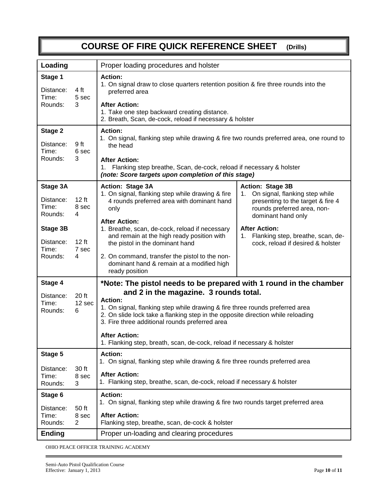# **COURSE OF FIRE QUICK REFERENCE SHEET (Drills)**

| Loading                                                                                                                              | Proper loading procedures and holster                                                                                                                                                                                                                                                                                                                                                                                                                                                                                                                                                                                                                                 |  |  |
|--------------------------------------------------------------------------------------------------------------------------------------|-----------------------------------------------------------------------------------------------------------------------------------------------------------------------------------------------------------------------------------------------------------------------------------------------------------------------------------------------------------------------------------------------------------------------------------------------------------------------------------------------------------------------------------------------------------------------------------------------------------------------------------------------------------------------|--|--|
| Stage 1<br>4 ft<br>Distance:<br>Time:<br>5 sec<br>Rounds:<br>3                                                                       | <b>Action:</b><br>1. On signal draw to close quarters retention position & fire three rounds into the<br>preferred area<br><b>After Action:</b><br>1. Take one step backward creating distance.<br>2. Breath, Scan, de-cock, reload if necessary & holster                                                                                                                                                                                                                                                                                                                                                                                                            |  |  |
| Stage 2<br>Distance:<br>9 ft<br>6 sec<br>Time:<br>Rounds:<br>3                                                                       | <b>Action:</b><br>1. On signal, flanking step while drawing & fire two rounds preferred area, one round to<br>the head<br><b>After Action:</b><br>1. Flanking step breathe, Scan, de-cock, reload if necessary & holster<br>(note: Score targets upon completion of this stage)                                                                                                                                                                                                                                                                                                                                                                                       |  |  |
| Stage 3A<br>12 ft<br>Distance:<br>Time:<br>8 sec<br>Rounds:<br>4<br>Stage 3B<br>12 ft<br>Distance:<br>Time:<br>7 sec<br>Rounds:<br>4 | Action: Stage 3A<br><b>Action: Stage 3B</b><br>1. On signal, flanking step while drawing & fire<br>1. On signal, flanking step while<br>4 rounds preferred area with dominant hand<br>presenting to the target & fire 4<br>rounds preferred area, non-<br>only<br>dominant hand only<br><b>After Action:</b><br><b>After Action:</b><br>1. Breathe, scan, de-cock, reload if necessary<br>and remain at the high ready position with<br>1. Flanking step, breathe, scan, de-<br>the pistol in the dominant hand<br>cock, reload if desired & holster<br>2. On command, transfer the pistol to the non-<br>dominant hand & remain at a modified high<br>ready position |  |  |
| Stage 4<br>20 ft<br>Distance:<br>12 sec<br>Time:<br>Rounds:<br>6                                                                     | *Note: The pistol needs to be prepared with 1 round in the chamber<br>and 2 in the magazine. 3 rounds total.<br><b>Action:</b><br>1. On signal, flanking step while drawing & fire three rounds preferred area<br>2. On slide lock take a flanking step in the opposite direction while reloading<br>3. Fire three additional rounds preferred area<br><b>After Action:</b><br>1. Flanking step, breath, scan, de-cock, reload if necessary & holster                                                                                                                                                                                                                 |  |  |
| Stage 5<br>30 ft<br>Distance:<br>Time:<br>8 sec<br>3<br>Rounds:                                                                      | <b>Action:</b><br>1. On signal, flanking step while drawing & fire three rounds preferred area<br><b>After Action:</b><br>1. Flanking step, breathe, scan, de-cock, reload if necessary & holster                                                                                                                                                                                                                                                                                                                                                                                                                                                                     |  |  |
| Stage 6<br>50 ft<br>Distance:<br>Time:<br>8 sec<br>Rounds:<br>$\overline{2}$<br><b>Ending</b>                                        | <b>Action:</b><br>1. On signal, flanking step while drawing & fire two rounds target preferred area<br><b>After Action:</b><br>Flanking step, breathe, scan, de-cock & holster<br>Proper un-loading and clearing procedures                                                                                                                                                                                                                                                                                                                                                                                                                                           |  |  |